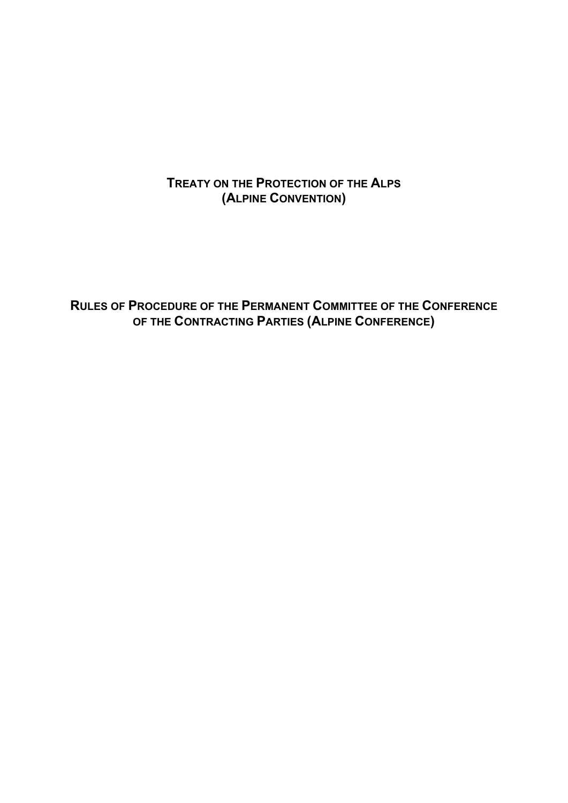**TREATY ON THE PROTECTION OF THE ALPS (ALPINE CONVENTION)** 

**RULES OF PROCEDURE OF THE PERMANENT COMMITTEE OF THE CONFERENCE OF THE CONTRACTING PARTIES (ALPINE CONFERENCE)**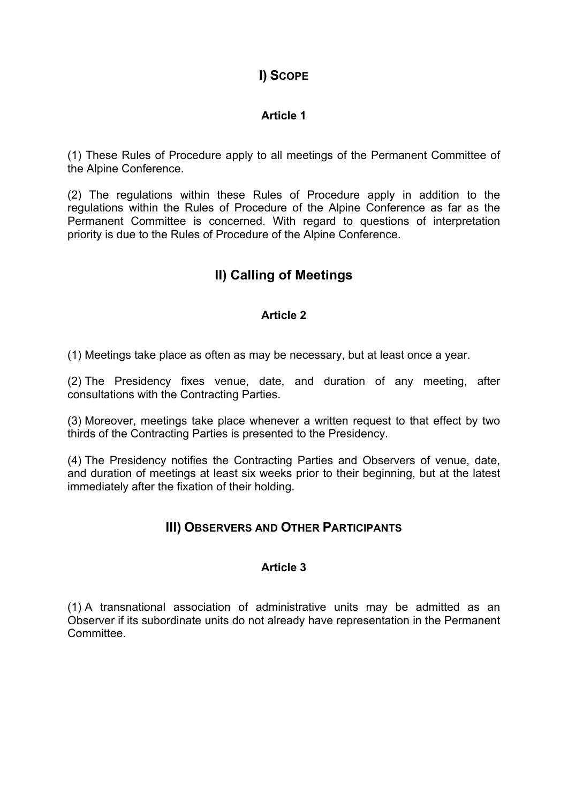# **I) SCOPE**

### **Article 1**

(1) These Rules of Procedure apply to all meetings of the Permanent Committee of the Alpine Conference.

(2) The regulations within these Rules of Procedure apply in addition to the regulations within the Rules of Procedure of the Alpine Conference as far as the Permanent Committee is concerned. With regard to questions of interpretation priority is due to the Rules of Procedure of the Alpine Conference.

# **II) Calling of Meetings**

### **Article 2**

(1) Meetings take place as often as may be necessary, but at least once a year.

(2) The Presidency fixes venue, date, and duration of any meeting, after consultations with the Contracting Parties.

(3) Moreover, meetings take place whenever a written request to that effect by two thirds of the Contracting Parties is presented to the Presidency.

(4) The Presidency notifies the Contracting Parties and Observers of venue, date, and duration of meetings at least six weeks prior to their beginning, but at the latest immediately after the fixation of their holding.

### **III) OBSERVERS AND OTHER PARTICIPANTS**

#### **Article 3**

(1) A transnational association of administrative units may be admitted as an Observer if its subordinate units do not already have representation in the Permanent **Committee.**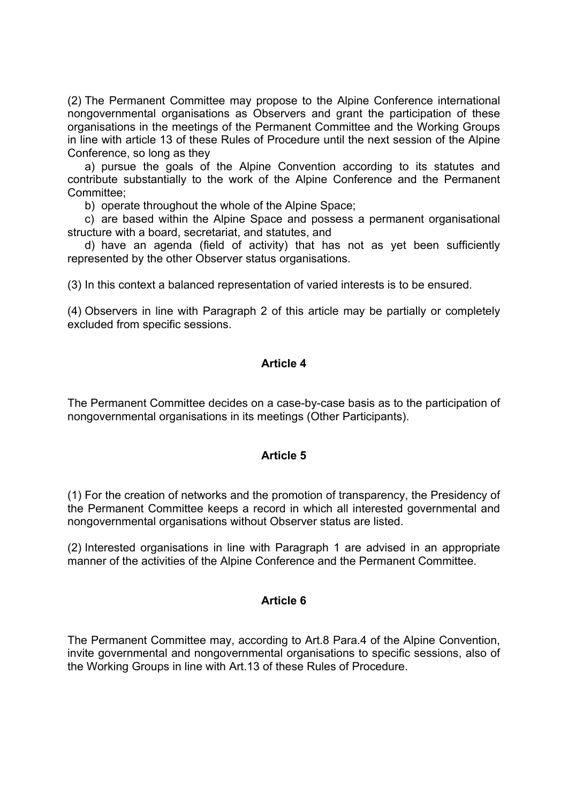(2) The Permanent Committee may propose to the Alpine Conference international nongovernmental organisations as Observers and grant the participation of these organisations in the meetings of the Permanent Committee and the Working Groups in line with article 13 of these Rules of Procedure until the next session of the Alpine Conference, so long as they

 a) pursue the goals of the Alpine Convention according to its statutes and contribute substantially to the work of the Alpine Conference and the Permanent Committee;

b) operate throughout the whole of the Alpine Space;

 c) are based within the Alpine Space and possess a permanent organisational structure with a board, secretariat, and statutes, and

 d) have an agenda (field of activity) that has not as yet been sufficiently represented by the other Observer status organisations.

(3) In this context a balanced representation of varied interests is to be ensured.

(4) Observers in line with Paragraph 2 of this article may be partially or completely excluded from specific sessions.

#### **Article 4**

The Permanent Committee decides on a case-by-case basis as to the participation of nongovernmental organisations in its meetings (Other Participants).

#### **Article 5**

(1) For the creation of networks and the promotion of transparency, the Presidency of the Permanent Committee keeps a record in which all interested governmental and nongovernmental organisations without Observer status are listed.

(2) Interested organisations in line with Paragraph 1 are advised in an appropriate manner of the activities of the Alpine Conference and the Permanent Committee.

#### **Article 6**

The Permanent Committee may, according to Art.8 Para.4 of the Alpine Convention, invite governmental and nongovernmental organisations to specific sessions, also of the Working Groups in line with Art.13 of these Rules of Procedure.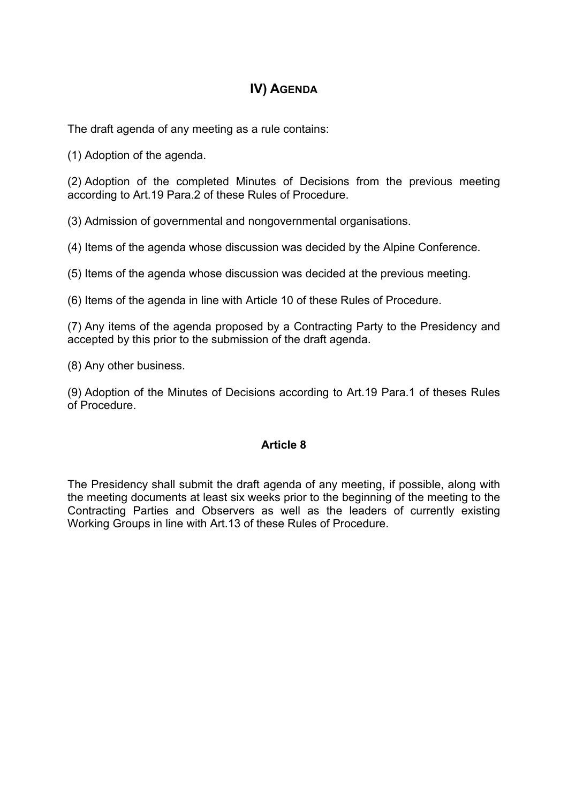# **IV) AGENDA**

The draft agenda of any meeting as a rule contains:

(1) Adoption of the agenda.

(2) Adoption of the completed Minutes of Decisions from the previous meeting according to Art.19 Para.2 of these Rules of Procedure.

(3) Admission of governmental and nongovernmental organisations.

(4) Items of the agenda whose discussion was decided by the Alpine Conference.

(5) Items of the agenda whose discussion was decided at the previous meeting.

(6) Items of the agenda in line with Article 10 of these Rules of Procedure.

(7) Any items of the agenda proposed by a Contracting Party to the Presidency and accepted by this prior to the submission of the draft agenda.

(8) Any other business.

(9) Adoption of the Minutes of Decisions according to Art.19 Para.1 of theses Rules of Procedure.

#### **Article 8**

The Presidency shall submit the draft agenda of any meeting, if possible, along with the meeting documents at least six weeks prior to the beginning of the meeting to the Contracting Parties and Observers as well as the leaders of currently existing Working Groups in line with Art.13 of these Rules of Procedure.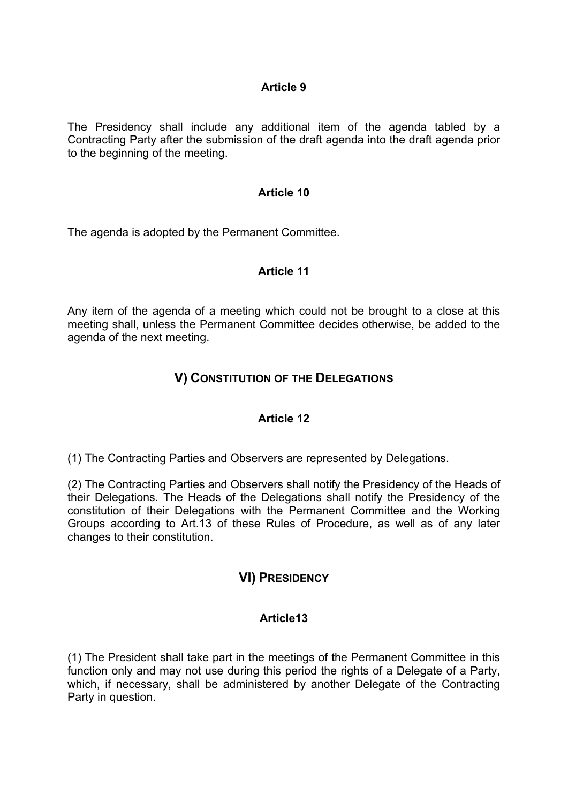#### **Article 9**

The Presidency shall include any additional item of the agenda tabled by a Contracting Party after the submission of the draft agenda into the draft agenda prior to the beginning of the meeting.

#### **Article 10**

The agenda is adopted by the Permanent Committee.

#### **Article 11**

Any item of the agenda of a meeting which could not be brought to a close at this meeting shall, unless the Permanent Committee decides otherwise, be added to the agenda of the next meeting.

### **V) CONSTITUTION OF THE DELEGATIONS**

#### **Article 12**

(1) The Contracting Parties and Observers are represented by Delegations.

(2) The Contracting Parties and Observers shall notify the Presidency of the Heads of their Delegations. The Heads of the Delegations shall notify the Presidency of the constitution of their Delegations with the Permanent Committee and the Working Groups according to Art.13 of these Rules of Procedure, as well as of any later changes to their constitution.

### **VI) PRESIDENCY**

#### **Article13**

(1) The President shall take part in the meetings of the Permanent Committee in this function only and may not use during this period the rights of a Delegate of a Party, which, if necessary, shall be administered by another Delegate of the Contracting Party in question.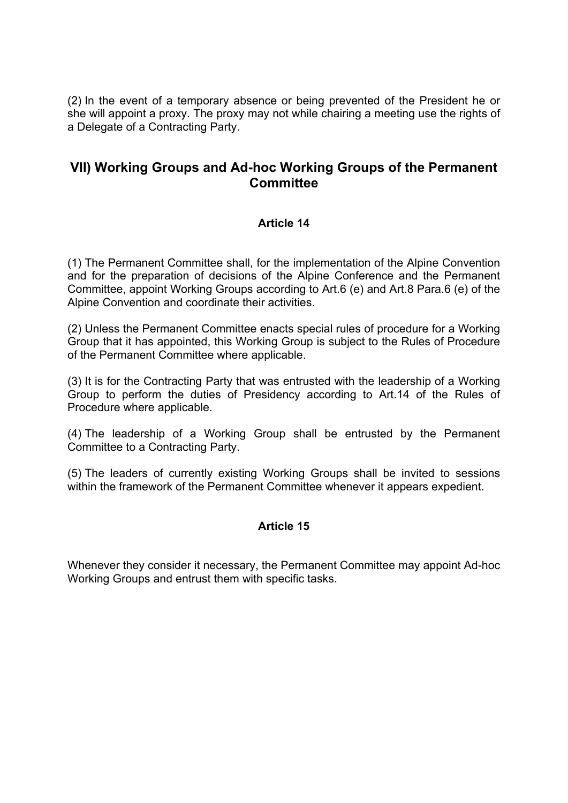(2) In the event of a temporary absence or being prevented of the President he or she will appoint a proxy. The proxy may not while chairing a meeting use the rights of a Delegate of a Contracting Party.

### **VII) Working Groups and Ad-hoc Working Groups of the Permanent Committee**

#### **Article 14**

(1) The Permanent Committee shall, for the implementation of the Alpine Convention and for the preparation of decisions of the Alpine Conference and the Permanent Committee, appoint Working Groups according to Art.6 (e) and Art.8 Para.6 (e) of the Alpine Convention and coordinate their activities.

(2) Unless the Permanent Committee enacts special rules of procedure for a Working Group that it has appointed, this Working Group is subject to the Rules of Procedure of the Permanent Committee where applicable.

(3) It is for the Contracting Party that was entrusted with the leadership of a Working Group to perform the duties of Presidency according to Art.14 of the Rules of Procedure where applicable.

(4) The leadership of a Working Group shall be entrusted by the Permanent Committee to a Contracting Party.

(5) The leaders of currently existing Working Groups shall be invited to sessions within the framework of the Permanent Committee whenever it appears expedient.

#### **Article 15**

Whenever they consider it necessary, the Permanent Committee may appoint Ad-hoc Working Groups and entrust them with specific tasks.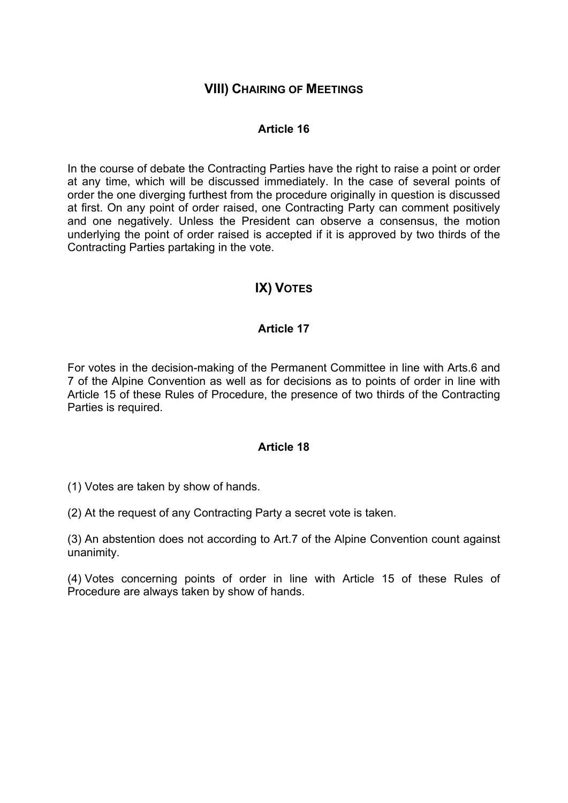### **VIII) CHAIRING OF MEETINGS**

#### **Article 16**

In the course of debate the Contracting Parties have the right to raise a point or order at any time, which will be discussed immediately. In the case of several points of order the one diverging furthest from the procedure originally in question is discussed at first. On any point of order raised, one Contracting Party can comment positively and one negatively. Unless the President can observe a consensus, the motion underlying the point of order raised is accepted if it is approved by two thirds of the Contracting Parties partaking in the vote.

# **IX) VOTES**

#### **Article 17**

For votes in the decision-making of the Permanent Committee in line with Arts.6 and 7 of the Alpine Convention as well as for decisions as to points of order in line with Article 15 of these Rules of Procedure, the presence of two thirds of the Contracting Parties is required.

#### **Article 18**

(1) Votes are taken by show of hands.

(2) At the request of any Contracting Party a secret vote is taken.

(3) An abstention does not according to Art.7 of the Alpine Convention count against unanimity.

(4) Votes concerning points of order in line with Article 15 of these Rules of Procedure are always taken by show of hands.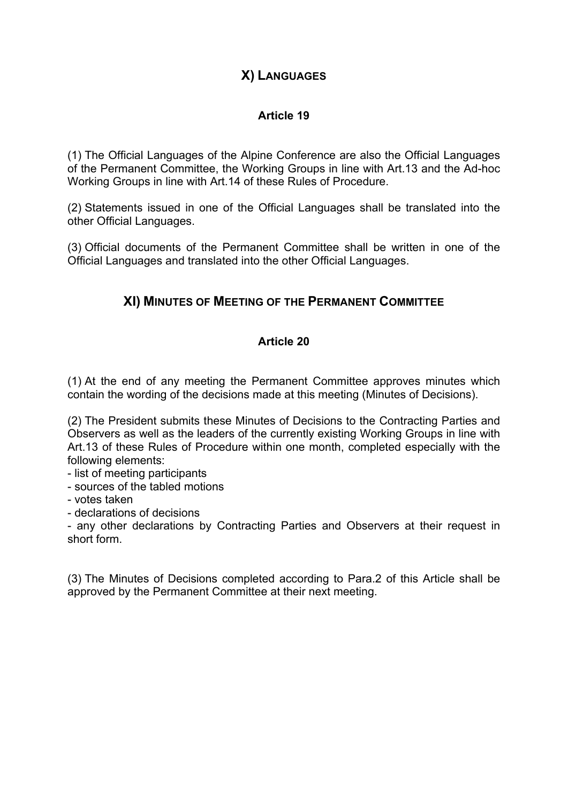# **X) LANGUAGES**

### **Article 19**

(1) The Official Languages of the Alpine Conference are also the Official Languages of the Permanent Committee, the Working Groups in line with Art.13 and the Ad-hoc Working Groups in line with Art.14 of these Rules of Procedure.

(2) Statements issued in one of the Official Languages shall be translated into the other Official Languages.

(3) Official documents of the Permanent Committee shall be written in one of the Official Languages and translated into the other Official Languages.

# **XI) MINUTES OF MEETING OF THE PERMANENT COMMITTEE**

### **Article 20**

(1) At the end of any meeting the Permanent Committee approves minutes which contain the wording of the decisions made at this meeting (Minutes of Decisions).

(2) The President submits these Minutes of Decisions to the Contracting Parties and Observers as well as the leaders of the currently existing Working Groups in line with Art.13 of these Rules of Procedure within one month, completed especially with the following elements:

- list of meeting participants

- sources of the tabled motions

- votes taken

- declarations of decisions

- any other declarations by Contracting Parties and Observers at their request in short form.

(3) The Minutes of Decisions completed according to Para.2 of this Article shall be approved by the Permanent Committee at their next meeting.